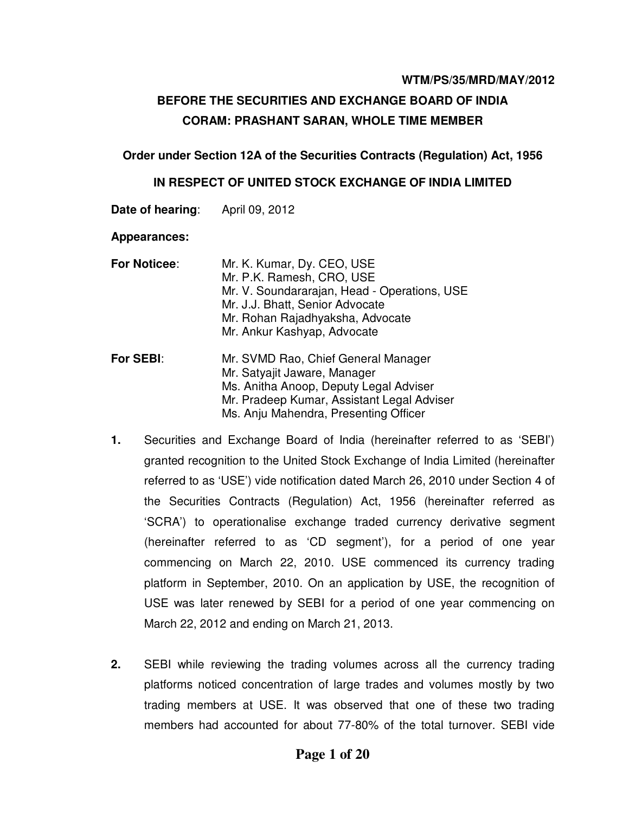#### **WTM/PS/35/MRD/MAY/2012**

# **BEFORE THE SECURITIES AND EXCHANGE BOARD OF INDIA CORAM: PRASHANT SARAN, WHOLE TIME MEMBER**

### **Order under Section 12A of the Securities Contracts (Regulation) Act, 1956**

### **IN RESPECT OF UNITED STOCK EXCHANGE OF INDIA LIMITED**

| Date of hearing:    | April 09, 2012                                                                                                                                                                                                |
|---------------------|---------------------------------------------------------------------------------------------------------------------------------------------------------------------------------------------------------------|
| <b>Appearances:</b> |                                                                                                                                                                                                               |
| <b>For Noticee:</b> | Mr. K. Kumar, Dy. CEO, USE<br>Mr. P.K. Ramesh, CRO, USE<br>Mr. V. Soundararajan, Head - Operations, USE<br>Mr. J.J. Bhatt, Senior Advocate<br>Mr. Rohan Rajadhyaksha, Advocate<br>Mr. Ankur Kashyap, Advocate |
| For SEBI:           | Mr. SVMD Rao, Chief General Manager<br>Mr. Satyajit Jaware, Manager<br>Ms. Anitha Anoop, Deputy Legal Adviser<br>Mr. Pradeep Kumar, Assistant Legal Adviser<br>Ms. Anju Mahendra, Presenting Officer          |

- **1.** Securities and Exchange Board of India (hereinafter referred to as 'SEBI') granted recognition to the United Stock Exchange of India Limited (hereinafter referred to as 'USE') vide notification dated March 26, 2010 under Section 4 of the Securities Contracts (Regulation) Act, 1956 (hereinafter referred as 'SCRA') to operationalise exchange traded currency derivative segment (hereinafter referred to as 'CD segment'), for a period of one year commencing on March 22, 2010. USE commenced its currency trading platform in September, 2010. On an application by USE, the recognition of USE was later renewed by SEBI for a period of one year commencing on March 22, 2012 and ending on March 21, 2013.
- **2.** SEBI while reviewing the trading volumes across all the currency trading platforms noticed concentration of large trades and volumes mostly by two trading members at USE. It was observed that one of these two trading members had accounted for about 77-80% of the total turnover. SEBI vide

# **Page 1 of 20**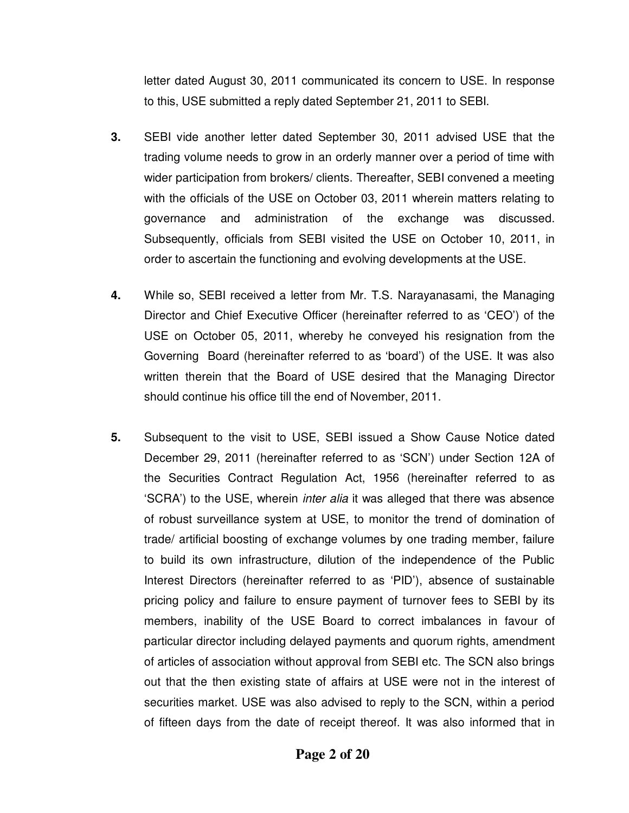letter dated August 30, 2011 communicated its concern to USE. In response to this, USE submitted a reply dated September 21, 2011 to SEBI.

- **3.** SEBI vide another letter dated September 30, 2011 advised USE that the trading volume needs to grow in an orderly manner over a period of time with wider participation from brokers/ clients. Thereafter, SEBI convened a meeting with the officials of the USE on October 03, 2011 wherein matters relating to governance and administration of the exchange was discussed. Subsequently, officials from SEBI visited the USE on October 10, 2011, in order to ascertain the functioning and evolving developments at the USE.
- **4.** While so, SEBI received a letter from Mr. T.S. Narayanasami, the Managing Director and Chief Executive Officer (hereinafter referred to as 'CEO') of the USE on October 05, 2011, whereby he conveyed his resignation from the Governing Board (hereinafter referred to as 'board') of the USE. It was also written therein that the Board of USE desired that the Managing Director should continue his office till the end of November, 2011.
- **5.** Subsequent to the visit to USE, SEBI issued a Show Cause Notice dated December 29, 2011 (hereinafter referred to as 'SCN') under Section 12A of the Securities Contract Regulation Act, 1956 (hereinafter referred to as 'SCRA') to the USE, wherein *inter alia* it was alleged that there was absence of robust surveillance system at USE, to monitor the trend of domination of trade/ artificial boosting of exchange volumes by one trading member, failure to build its own infrastructure, dilution of the independence of the Public Interest Directors (hereinafter referred to as 'PID'), absence of sustainable pricing policy and failure to ensure payment of turnover fees to SEBI by its members, inability of the USE Board to correct imbalances in favour of particular director including delayed payments and quorum rights, amendment of articles of association without approval from SEBI etc. The SCN also brings out that the then existing state of affairs at USE were not in the interest of securities market. USE was also advised to reply to the SCN, within a period of fifteen days from the date of receipt thereof. It was also informed that in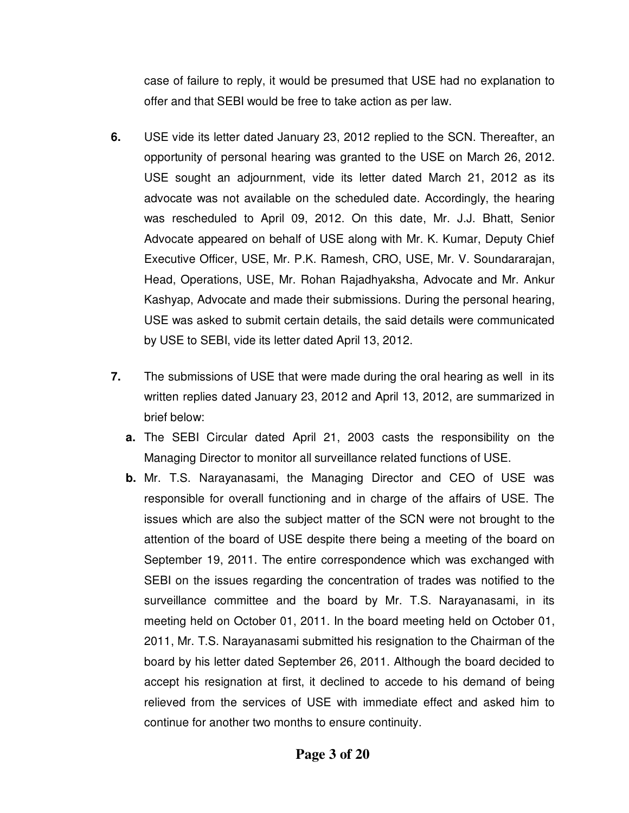case of failure to reply, it would be presumed that USE had no explanation to offer and that SEBI would be free to take action as per law.

- **6.** USE vide its letter dated January 23, 2012 replied to the SCN. Thereafter, an opportunity of personal hearing was granted to the USE on March 26, 2012. USE sought an adjournment, vide its letter dated March 21, 2012 as its advocate was not available on the scheduled date. Accordingly, the hearing was rescheduled to April 09, 2012. On this date, Mr. J.J. Bhatt, Senior Advocate appeared on behalf of USE along with Mr. K. Kumar, Deputy Chief Executive Officer, USE, Mr. P.K. Ramesh, CRO, USE, Mr. V. Soundararajan, Head, Operations, USE, Mr. Rohan Rajadhyaksha, Advocate and Mr. Ankur Kashyap, Advocate and made their submissions. During the personal hearing, USE was asked to submit certain details, the said details were communicated by USE to SEBI, vide its letter dated April 13, 2012.
- **7.** The submissions of USE that were made during the oral hearing as well in its written replies dated January 23, 2012 and April 13, 2012, are summarized in brief below:
	- **a.** The SEBI Circular dated April 21, 2003 casts the responsibility on the Managing Director to monitor all surveillance related functions of USE.
	- **b.** Mr. T.S. Narayanasami, the Managing Director and CEO of USE was responsible for overall functioning and in charge of the affairs of USE. The issues which are also the subject matter of the SCN were not brought to the attention of the board of USE despite there being a meeting of the board on September 19, 2011. The entire correspondence which was exchanged with SEBI on the issues regarding the concentration of trades was notified to the surveillance committee and the board by Mr. T.S. Narayanasami, in its meeting held on October 01, 2011. In the board meeting held on October 01, 2011, Mr. T.S. Narayanasami submitted his resignation to the Chairman of the board by his letter dated September 26, 2011. Although the board decided to accept his resignation at first, it declined to accede to his demand of being relieved from the services of USE with immediate effect and asked him to continue for another two months to ensure continuity.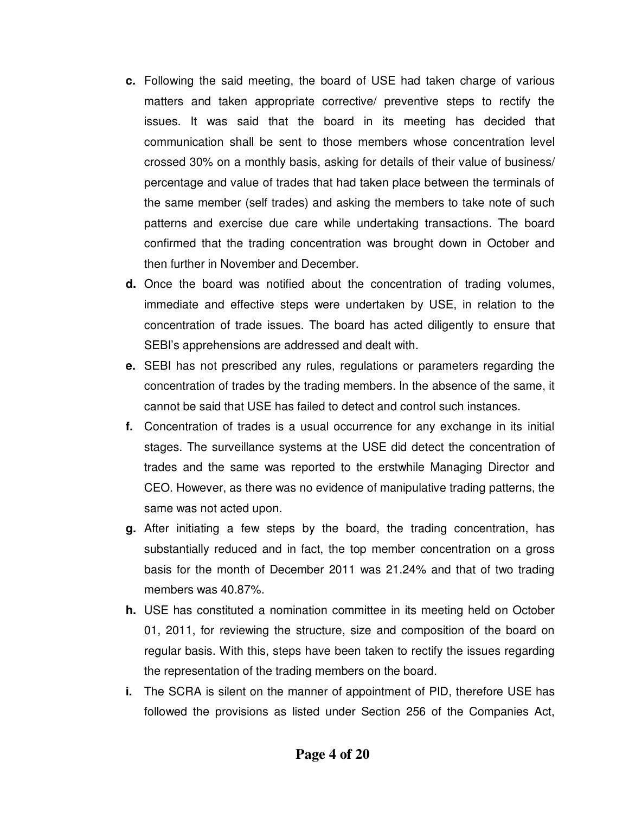- **c.** Following the said meeting, the board of USE had taken charge of various matters and taken appropriate corrective/ preventive steps to rectify the issues. It was said that the board in its meeting has decided that communication shall be sent to those members whose concentration level crossed 30% on a monthly basis, asking for details of their value of business/ percentage and value of trades that had taken place between the terminals of the same member (self trades) and asking the members to take note of such patterns and exercise due care while undertaking transactions. The board confirmed that the trading concentration was brought down in October and then further in November and December.
- **d.** Once the board was notified about the concentration of trading volumes, immediate and effective steps were undertaken by USE, in relation to the concentration of trade issues. The board has acted diligently to ensure that SEBI's apprehensions are addressed and dealt with.
- **e.** SEBI has not prescribed any rules, regulations or parameters regarding the concentration of trades by the trading members. In the absence of the same, it cannot be said that USE has failed to detect and control such instances.
- **f.** Concentration of trades is a usual occurrence for any exchange in its initial stages. The surveillance systems at the USE did detect the concentration of trades and the same was reported to the erstwhile Managing Director and CEO. However, as there was no evidence of manipulative trading patterns, the same was not acted upon.
- **g.** After initiating a few steps by the board, the trading concentration, has substantially reduced and in fact, the top member concentration on a gross basis for the month of December 2011 was 21.24% and that of two trading members was 40.87%.
- **h.** USE has constituted a nomination committee in its meeting held on October 01, 2011, for reviewing the structure, size and composition of the board on regular basis. With this, steps have been taken to rectify the issues regarding the representation of the trading members on the board.
- **i.** The SCRA is silent on the manner of appointment of PID, therefore USE has followed the provisions as listed under Section 256 of the Companies Act,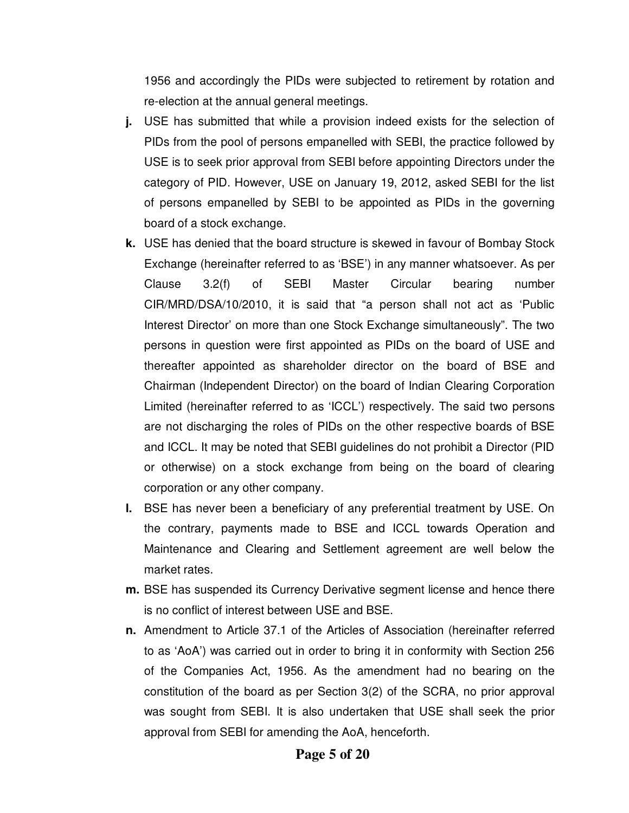1956 and accordingly the PIDs were subjected to retirement by rotation and re-election at the annual general meetings.

- **j.** USE has submitted that while a provision indeed exists for the selection of PIDs from the pool of persons empanelled with SEBI, the practice followed by USE is to seek prior approval from SEBI before appointing Directors under the category of PID. However, USE on January 19, 2012, asked SEBI for the list of persons empanelled by SEBI to be appointed as PIDs in the governing board of a stock exchange.
- **k.** USE has denied that the board structure is skewed in favour of Bombay Stock Exchange (hereinafter referred to as 'BSE') in any manner whatsoever. As per Clause 3.2(f) of SEBI Master Circular bearing number CIR/MRD/DSA/10/2010, it is said that "a person shall not act as 'Public Interest Director' on more than one Stock Exchange simultaneously". The two persons in question were first appointed as PIDs on the board of USE and thereafter appointed as shareholder director on the board of BSE and Chairman (Independent Director) on the board of Indian Clearing Corporation Limited (hereinafter referred to as 'ICCL') respectively. The said two persons are not discharging the roles of PIDs on the other respective boards of BSE and ICCL. It may be noted that SEBI guidelines do not prohibit a Director (PID or otherwise) on a stock exchange from being on the board of clearing corporation or any other company.
- **l.** BSE has never been a beneficiary of any preferential treatment by USE. On the contrary, payments made to BSE and ICCL towards Operation and Maintenance and Clearing and Settlement agreement are well below the market rates.
- **m.** BSE has suspended its Currency Derivative segment license and hence there is no conflict of interest between USE and BSE.
- **n.** Amendment to Article 37.1 of the Articles of Association (hereinafter referred to as 'AoA') was carried out in order to bring it in conformity with Section 256 of the Companies Act, 1956. As the amendment had no bearing on the constitution of the board as per Section 3(2) of the SCRA, no prior approval was sought from SEBI. It is also undertaken that USE shall seek the prior approval from SEBI for amending the AoA, henceforth.

# **Page 5 of 20**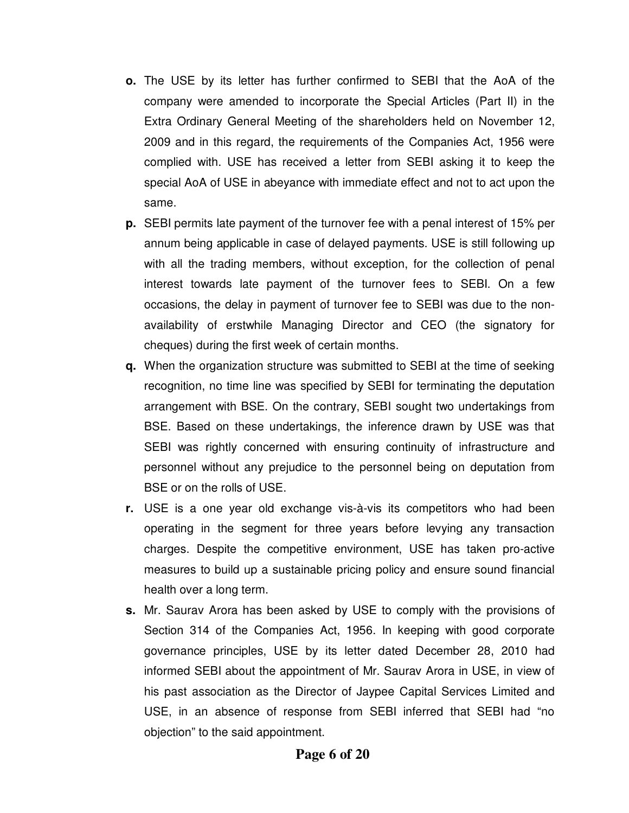- **o.** The USE by its letter has further confirmed to SEBI that the AoA of the company were amended to incorporate the Special Articles (Part II) in the Extra Ordinary General Meeting of the shareholders held on November 12, 2009 and in this regard, the requirements of the Companies Act, 1956 were complied with. USE has received a letter from SEBI asking it to keep the special AoA of USE in abeyance with immediate effect and not to act upon the same.
- **p.** SEBI permits late payment of the turnover fee with a penal interest of 15% per annum being applicable in case of delayed payments. USE is still following up with all the trading members, without exception, for the collection of penal interest towards late payment of the turnover fees to SEBI. On a few occasions, the delay in payment of turnover fee to SEBI was due to the nonavailability of erstwhile Managing Director and CEO (the signatory for cheques) during the first week of certain months.
- **q.** When the organization structure was submitted to SEBI at the time of seeking recognition, no time line was specified by SEBI for terminating the deputation arrangement with BSE. On the contrary, SEBI sought two undertakings from BSE. Based on these undertakings, the inference drawn by USE was that SEBI was rightly concerned with ensuring continuity of infrastructure and personnel without any prejudice to the personnel being on deputation from BSE or on the rolls of USE.
- **r.** USE is a one year old exchange vis-à-vis its competitors who had been operating in the segment for three years before levying any transaction charges. Despite the competitive environment, USE has taken pro-active measures to build up a sustainable pricing policy and ensure sound financial health over a long term.
- **s.** Mr. Saurav Arora has been asked by USE to comply with the provisions of Section 314 of the Companies Act, 1956. In keeping with good corporate governance principles, USE by its letter dated December 28, 2010 had informed SEBI about the appointment of Mr. Saurav Arora in USE, in view of his past association as the Director of Jaypee Capital Services Limited and USE, in an absence of response from SEBI inferred that SEBI had "no objection" to the said appointment.

# **Page 6 of 20**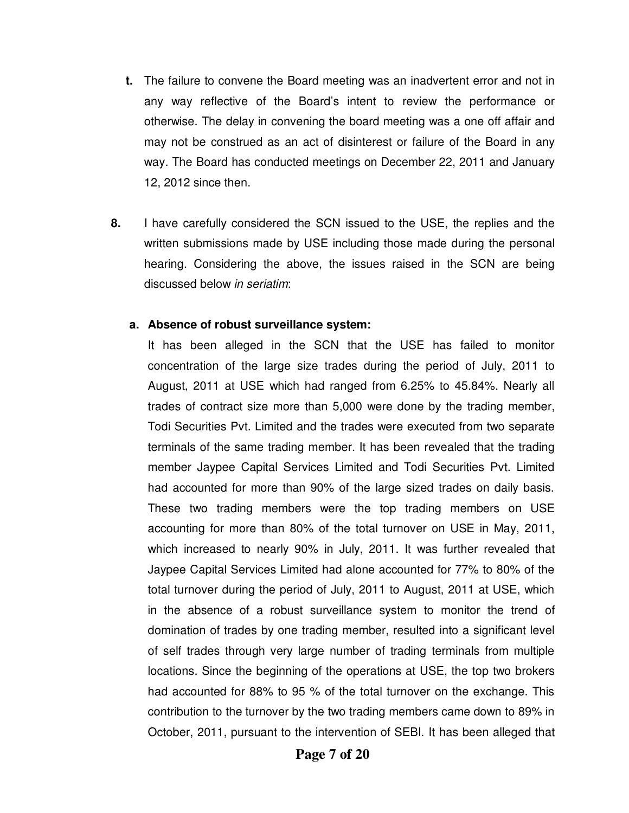- **t.** The failure to convene the Board meeting was an inadvertent error and not in any way reflective of the Board's intent to review the performance or otherwise. The delay in convening the board meeting was a one off affair and may not be construed as an act of disinterest or failure of the Board in any way. The Board has conducted meetings on December 22, 2011 and January 12, 2012 since then.
- **8.** I have carefully considered the SCN issued to the USE, the replies and the written submissions made by USE including those made during the personal hearing. Considering the above, the issues raised in the SCN are being discussed below in seriatim:

### **a. Absence of robust surveillance system:**

It has been alleged in the SCN that the USE has failed to monitor concentration of the large size trades during the period of July, 2011 to August, 2011 at USE which had ranged from 6.25% to 45.84%. Nearly all trades of contract size more than 5,000 were done by the trading member, Todi Securities Pvt. Limited and the trades were executed from two separate terminals of the same trading member. It has been revealed that the trading member Jaypee Capital Services Limited and Todi Securities Pvt. Limited had accounted for more than 90% of the large sized trades on daily basis. These two trading members were the top trading members on USE accounting for more than 80% of the total turnover on USE in May, 2011, which increased to nearly 90% in July, 2011. It was further revealed that Jaypee Capital Services Limited had alone accounted for 77% to 80% of the total turnover during the period of July, 2011 to August, 2011 at USE, which in the absence of a robust surveillance system to monitor the trend of domination of trades by one trading member, resulted into a significant level of self trades through very large number of trading terminals from multiple locations. Since the beginning of the operations at USE, the top two brokers had accounted for 88% to 95 % of the total turnover on the exchange. This contribution to the turnover by the two trading members came down to 89% in October, 2011, pursuant to the intervention of SEBI. It has been alleged that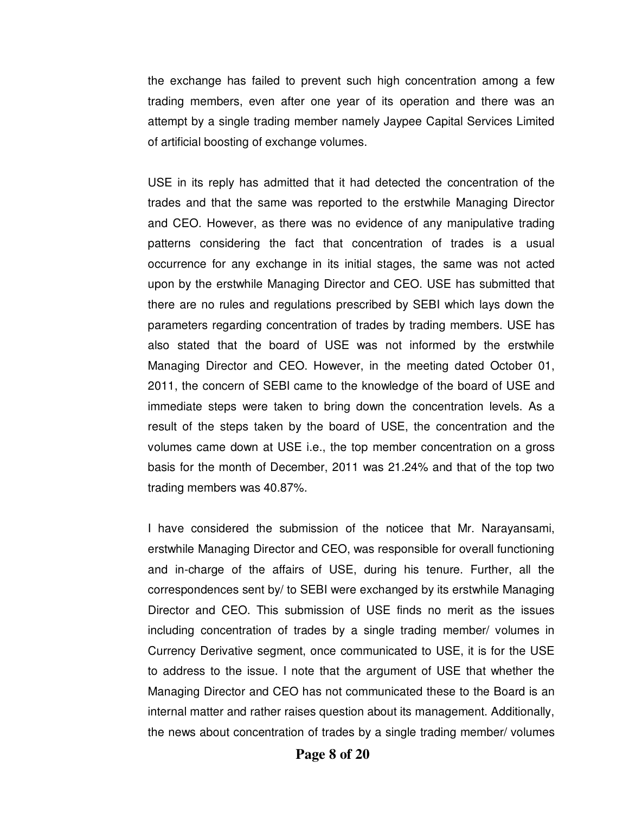the exchange has failed to prevent such high concentration among a few trading members, even after one year of its operation and there was an attempt by a single trading member namely Jaypee Capital Services Limited of artificial boosting of exchange volumes.

USE in its reply has admitted that it had detected the concentration of the trades and that the same was reported to the erstwhile Managing Director and CEO. However, as there was no evidence of any manipulative trading patterns considering the fact that concentration of trades is a usual occurrence for any exchange in its initial stages, the same was not acted upon by the erstwhile Managing Director and CEO. USE has submitted that there are no rules and regulations prescribed by SEBI which lays down the parameters regarding concentration of trades by trading members. USE has also stated that the board of USE was not informed by the erstwhile Managing Director and CEO. However, in the meeting dated October 01, 2011, the concern of SEBI came to the knowledge of the board of USE and immediate steps were taken to bring down the concentration levels. As a result of the steps taken by the board of USE, the concentration and the volumes came down at USE i.e., the top member concentration on a gross basis for the month of December, 2011 was 21.24% and that of the top two trading members was 40.87%.

I have considered the submission of the noticee that Mr. Narayansami, erstwhile Managing Director and CEO, was responsible for overall functioning and in-charge of the affairs of USE, during his tenure. Further, all the correspondences sent by/ to SEBI were exchanged by its erstwhile Managing Director and CEO. This submission of USE finds no merit as the issues including concentration of trades by a single trading member/ volumes in Currency Derivative segment, once communicated to USE, it is for the USE to address to the issue. I note that the argument of USE that whether the Managing Director and CEO has not communicated these to the Board is an internal matter and rather raises question about its management. Additionally, the news about concentration of trades by a single trading member/ volumes

**Page 8 of 20**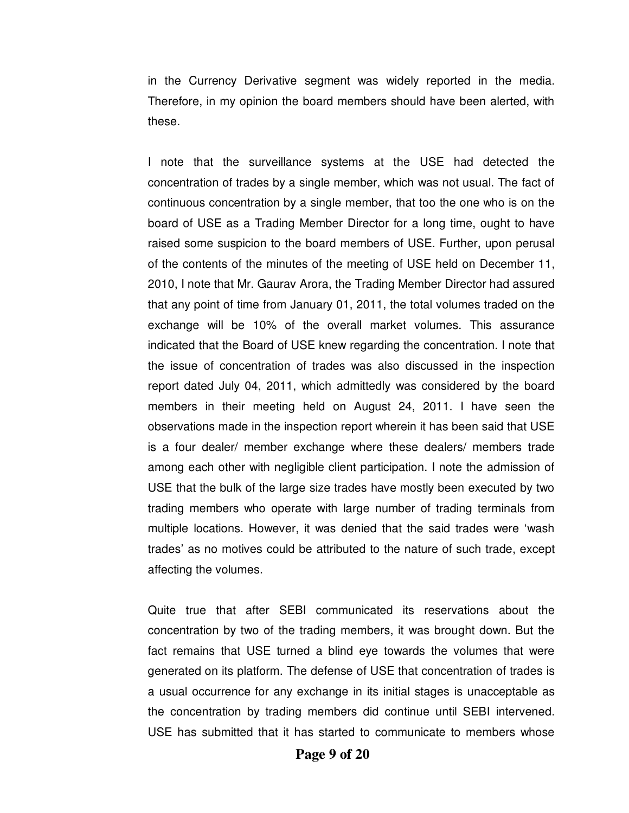in the Currency Derivative segment was widely reported in the media. Therefore, in my opinion the board members should have been alerted, with these.

I note that the surveillance systems at the USE had detected the concentration of trades by a single member, which was not usual. The fact of continuous concentration by a single member, that too the one who is on the board of USE as a Trading Member Director for a long time, ought to have raised some suspicion to the board members of USE. Further, upon perusal of the contents of the minutes of the meeting of USE held on December 11, 2010, I note that Mr. Gaurav Arora, the Trading Member Director had assured that any point of time from January 01, 2011, the total volumes traded on the exchange will be 10% of the overall market volumes. This assurance indicated that the Board of USE knew regarding the concentration. I note that the issue of concentration of trades was also discussed in the inspection report dated July 04, 2011, which admittedly was considered by the board members in their meeting held on August 24, 2011. I have seen the observations made in the inspection report wherein it has been said that USE is a four dealer/ member exchange where these dealers/ members trade among each other with negligible client participation. I note the admission of USE that the bulk of the large size trades have mostly been executed by two trading members who operate with large number of trading terminals from multiple locations. However, it was denied that the said trades were 'wash trades' as no motives could be attributed to the nature of such trade, except affecting the volumes.

Quite true that after SEBI communicated its reservations about the concentration by two of the trading members, it was brought down. But the fact remains that USE turned a blind eye towards the volumes that were generated on its platform. The defense of USE that concentration of trades is a usual occurrence for any exchange in its initial stages is unacceptable as the concentration by trading members did continue until SEBI intervened. USE has submitted that it has started to communicate to members whose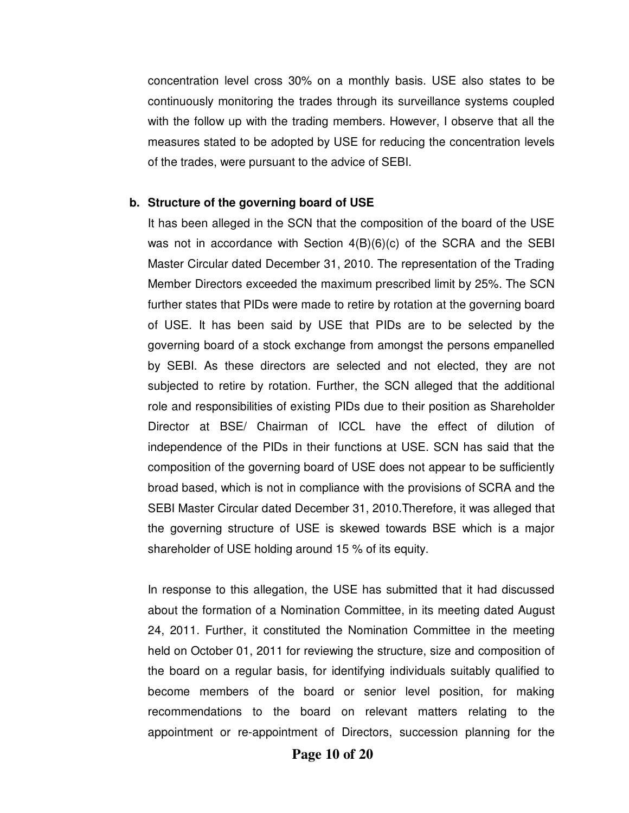concentration level cross 30% on a monthly basis. USE also states to be continuously monitoring the trades through its surveillance systems coupled with the follow up with the trading members. However, I observe that all the measures stated to be adopted by USE for reducing the concentration levels of the trades, were pursuant to the advice of SEBI.

#### **b. Structure of the governing board of USE**

It has been alleged in the SCN that the composition of the board of the USE was not in accordance with Section  $4(B)(6)(c)$  of the SCRA and the SEBI Master Circular dated December 31, 2010. The representation of the Trading Member Directors exceeded the maximum prescribed limit by 25%. The SCN further states that PIDs were made to retire by rotation at the governing board of USE. It has been said by USE that PIDs are to be selected by the governing board of a stock exchange from amongst the persons empanelled by SEBI. As these directors are selected and not elected, they are not subjected to retire by rotation. Further, the SCN alleged that the additional role and responsibilities of existing PIDs due to their position as Shareholder Director at BSE/ Chairman of ICCL have the effect of dilution of independence of the PIDs in their functions at USE. SCN has said that the composition of the governing board of USE does not appear to be sufficiently broad based, which is not in compliance with the provisions of SCRA and the SEBI Master Circular dated December 31, 2010.Therefore, it was alleged that the governing structure of USE is skewed towards BSE which is a major shareholder of USE holding around 15 % of its equity.

In response to this allegation, the USE has submitted that it had discussed about the formation of a Nomination Committee, in its meeting dated August 24, 2011. Further, it constituted the Nomination Committee in the meeting held on October 01, 2011 for reviewing the structure, size and composition of the board on a regular basis, for identifying individuals suitably qualified to become members of the board or senior level position, for making recommendations to the board on relevant matters relating to the appointment or re-appointment of Directors, succession planning for the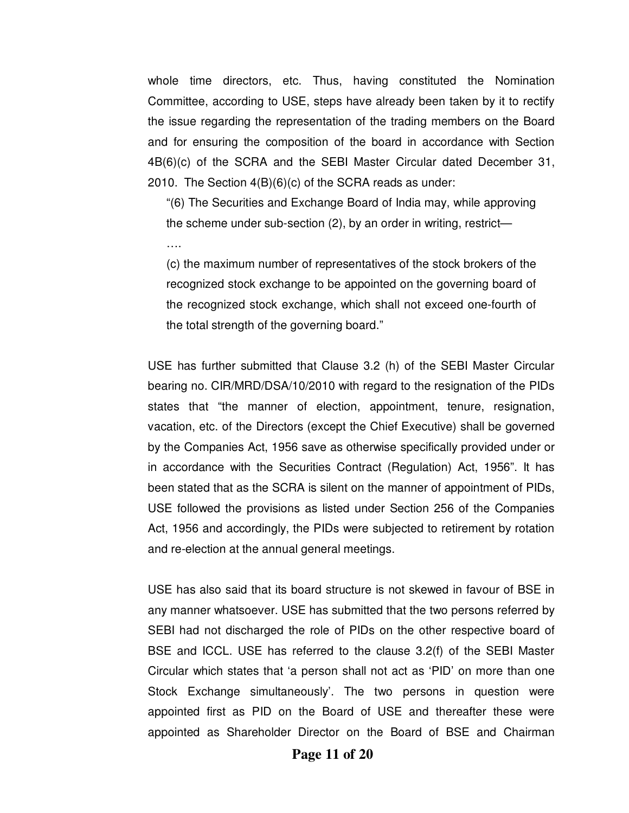whole time directors, etc. Thus, having constituted the Nomination Committee, according to USE, steps have already been taken by it to rectify the issue regarding the representation of the trading members on the Board and for ensuring the composition of the board in accordance with Section 4B(6)(c) of the SCRA and the SEBI Master Circular dated December 31, 2010. The Section 4(B)(6)(c) of the SCRA reads as under:

"(6) The Securities and Exchange Board of India may, while approving the scheme under sub-section (2), by an order in writing, restrict—

….

(c) the maximum number of representatives of the stock brokers of the recognized stock exchange to be appointed on the governing board of the recognized stock exchange, which shall not exceed one-fourth of the total strength of the governing board."

USE has further submitted that Clause 3.2 (h) of the SEBI Master Circular bearing no. CIR/MRD/DSA/10/2010 with regard to the resignation of the PIDs states that "the manner of election, appointment, tenure, resignation, vacation, etc. of the Directors (except the Chief Executive) shall be governed by the Companies Act, 1956 save as otherwise specifically provided under or in accordance with the Securities Contract (Regulation) Act, 1956". It has been stated that as the SCRA is silent on the manner of appointment of PIDs, USE followed the provisions as listed under Section 256 of the Companies Act, 1956 and accordingly, the PIDs were subjected to retirement by rotation and re-election at the annual general meetings.

USE has also said that its board structure is not skewed in favour of BSE in any manner whatsoever. USE has submitted that the two persons referred by SEBI had not discharged the role of PIDs on the other respective board of BSE and ICCL. USE has referred to the clause 3.2(f) of the SEBI Master Circular which states that 'a person shall not act as 'PID' on more than one Stock Exchange simultaneously'. The two persons in question were appointed first as PID on the Board of USE and thereafter these were appointed as Shareholder Director on the Board of BSE and Chairman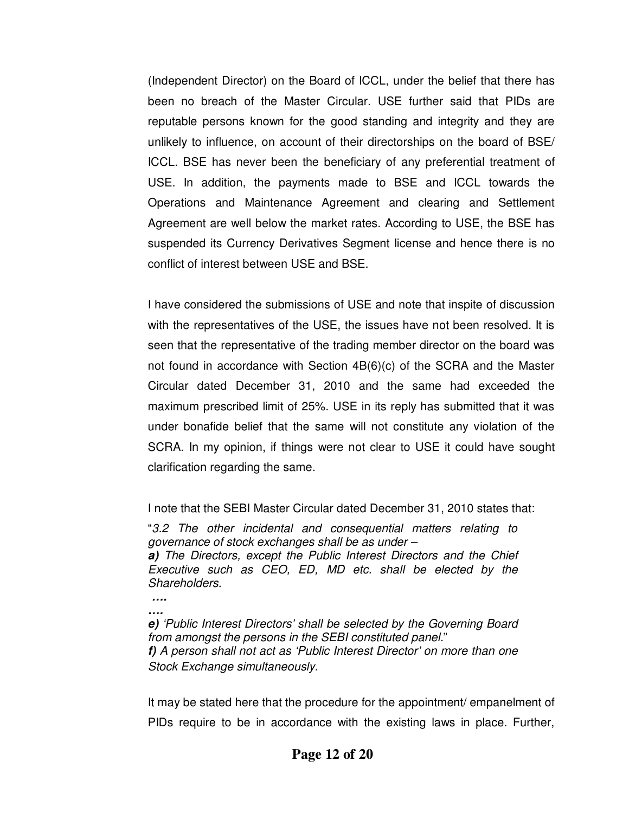(Independent Director) on the Board of ICCL, under the belief that there has been no breach of the Master Circular. USE further said that PIDs are reputable persons known for the good standing and integrity and they are unlikely to influence, on account of their directorships on the board of BSE/ ICCL. BSE has never been the beneficiary of any preferential treatment of USE. In addition, the payments made to BSE and ICCL towards the Operations and Maintenance Agreement and clearing and Settlement Agreement are well below the market rates. According to USE, the BSE has suspended its Currency Derivatives Segment license and hence there is no conflict of interest between USE and BSE.

I have considered the submissions of USE and note that inspite of discussion with the representatives of the USE, the issues have not been resolved. It is seen that the representative of the trading member director on the board was not found in accordance with Section 4B(6)(c) of the SCRA and the Master Circular dated December 31, 2010 and the same had exceeded the maximum prescribed limit of 25%. USE in its reply has submitted that it was under bonafide belief that the same will not constitute any violation of the SCRA. In my opinion, if things were not clear to USE it could have sought clarification regarding the same.

I note that the SEBI Master Circular dated December 31, 2010 states that:

"3.2 The other incidental and consequential matters relating to governance of stock exchanges shall be as under – **a)** The Directors, except the Public Interest Directors and the Chief Executive such as CEO, ED, MD etc. shall be elected by the Shareholders.

**…. ….** 

**e)** 'Public Interest Directors' shall be selected by the Governing Board from amongst the persons in the SEBI constituted panel." **f)** A person shall not act as 'Public Interest Director' on more than one Stock Exchange simultaneously.

It may be stated here that the procedure for the appointment/ empanelment of PIDs require to be in accordance with the existing laws in place. Further,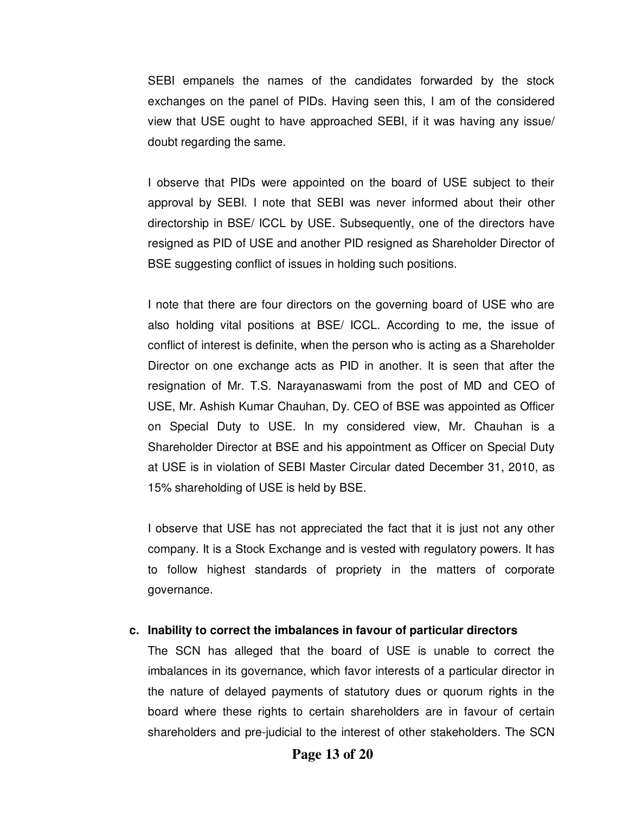SEBI empanels the names of the candidates forwarded by the stock exchanges on the panel of PIDs. Having seen this, I am of the considered view that USE ought to have approached SEBI, if it was having any issue/ doubt regarding the same.

I observe that PIDs were appointed on the board of USE subject to their approval by SEBI. I note that SEBI was never informed about their other directorship in BSE/ ICCL by USE. Subsequently, one of the directors have resigned as PID of USE and another PID resigned as Shareholder Director of BSE suggesting conflict of issues in holding such positions.

I note that there are four directors on the governing board of USE who are also holding vital positions at BSE/ ICCL. According to me, the issue of conflict of interest is definite, when the person who is acting as a Shareholder Director on one exchange acts as PID in another. It is seen that after the resignation of Mr. T.S. Narayanaswami from the post of MD and CEO of USE, Mr. Ashish Kumar Chauhan, Dy. CEO of BSE was appointed as Officer on Special Duty to USE. In my considered view, Mr. Chauhan is a Shareholder Director at BSE and his appointment as Officer on Special Duty at USE is in violation of SEBI Master Circular dated December 31, 2010, as 15% shareholding of USE is held by BSE.

I observe that USE has not appreciated the fact that it is just not any other company. It is a Stock Exchange and is vested with regulatory powers. It has to follow highest standards of propriety in the matters of corporate governance.

# **c. Inability to correct the imbalances in favour of particular directors**

The SCN has alleged that the board of USE is unable to correct the imbalances in its governance, which favor interests of a particular director in the nature of delayed payments of statutory dues or quorum rights in the board where these rights to certain shareholders are in favour of certain shareholders and pre-judicial to the interest of other stakeholders. The SCN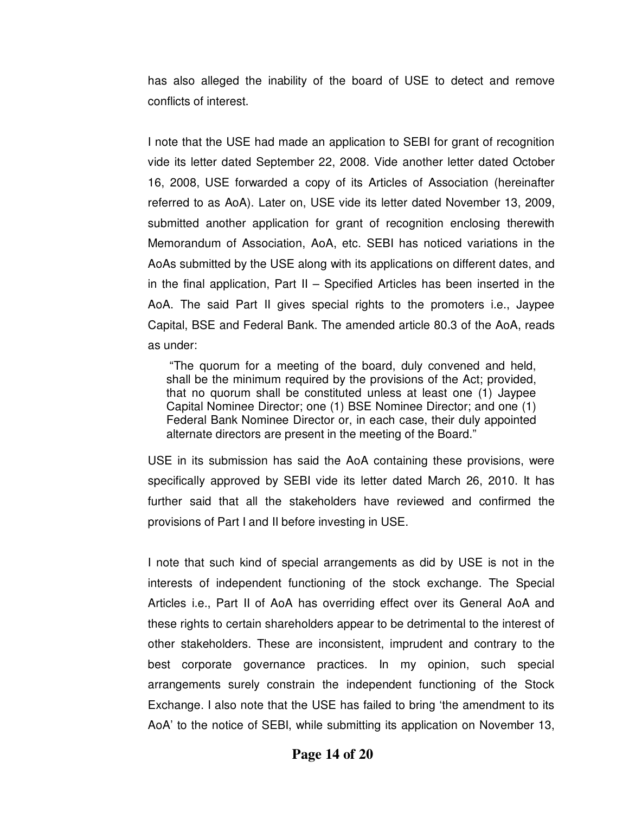has also alleged the inability of the board of USE to detect and remove conflicts of interest.

I note that the USE had made an application to SEBI for grant of recognition vide its letter dated September 22, 2008. Vide another letter dated October 16, 2008, USE forwarded a copy of its Articles of Association (hereinafter referred to as AoA). Later on, USE vide its letter dated November 13, 2009, submitted another application for grant of recognition enclosing therewith Memorandum of Association, AoA, etc. SEBI has noticed variations in the AoAs submitted by the USE along with its applications on different dates, and in the final application, Part II – Specified Articles has been inserted in the AoA. The said Part II gives special rights to the promoters i.e., Jaypee Capital, BSE and Federal Bank. The amended article 80.3 of the AoA, reads as under:

 "The quorum for a meeting of the board, duly convened and held, shall be the minimum required by the provisions of the Act; provided, that no quorum shall be constituted unless at least one (1) Jaypee Capital Nominee Director; one (1) BSE Nominee Director; and one (1) Federal Bank Nominee Director or, in each case, their duly appointed alternate directors are present in the meeting of the Board."

USE in its submission has said the AoA containing these provisions, were specifically approved by SEBI vide its letter dated March 26, 2010. It has further said that all the stakeholders have reviewed and confirmed the provisions of Part I and II before investing in USE.

I note that such kind of special arrangements as did by USE is not in the interests of independent functioning of the stock exchange. The Special Articles i.e., Part II of AoA has overriding effect over its General AoA and these rights to certain shareholders appear to be detrimental to the interest of other stakeholders. These are inconsistent, imprudent and contrary to the best corporate governance practices. In my opinion, such special arrangements surely constrain the independent functioning of the Stock Exchange. I also note that the USE has failed to bring 'the amendment to its AoA' to the notice of SEBI, while submitting its application on November 13,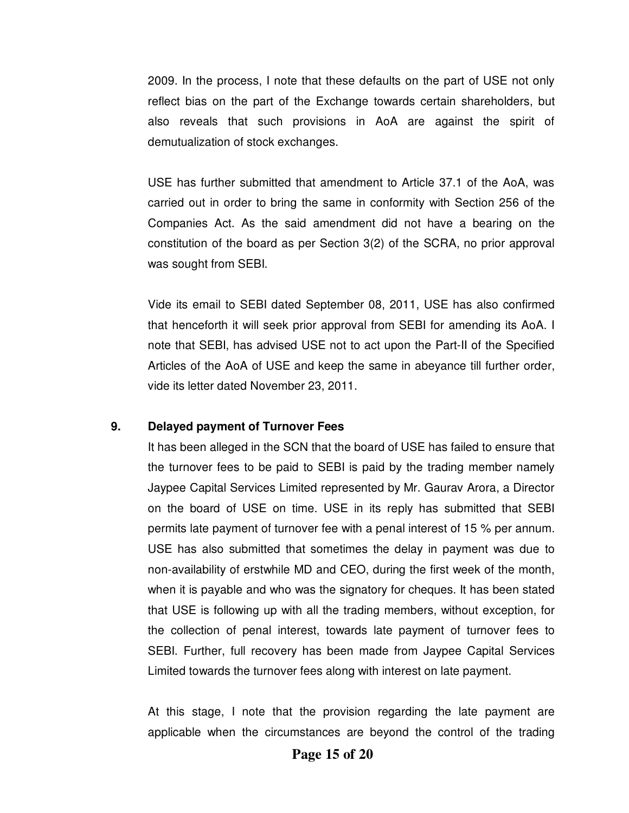2009. In the process, I note that these defaults on the part of USE not only reflect bias on the part of the Exchange towards certain shareholders, but also reveals that such provisions in AoA are against the spirit of demutualization of stock exchanges.

USE has further submitted that amendment to Article 37.1 of the AoA, was carried out in order to bring the same in conformity with Section 256 of the Companies Act. As the said amendment did not have a bearing on the constitution of the board as per Section 3(2) of the SCRA, no prior approval was sought from SEBI.

Vide its email to SEBI dated September 08, 2011, USE has also confirmed that henceforth it will seek prior approval from SEBI for amending its AoA. I note that SEBI, has advised USE not to act upon the Part-II of the Specified Articles of the AoA of USE and keep the same in abeyance till further order, vide its letter dated November 23, 2011.

#### **9. Delayed payment of Turnover Fees**

It has been alleged in the SCN that the board of USE has failed to ensure that the turnover fees to be paid to SEBI is paid by the trading member namely Jaypee Capital Services Limited represented by Mr. Gaurav Arora, a Director on the board of USE on time. USE in its reply has submitted that SEBI permits late payment of turnover fee with a penal interest of 15 % per annum. USE has also submitted that sometimes the delay in payment was due to non-availability of erstwhile MD and CEO, during the first week of the month, when it is payable and who was the signatory for cheques. It has been stated that USE is following up with all the trading members, without exception, for the collection of penal interest, towards late payment of turnover fees to SEBI. Further, full recovery has been made from Jaypee Capital Services Limited towards the turnover fees along with interest on late payment.

At this stage, I note that the provision regarding the late payment are applicable when the circumstances are beyond the control of the trading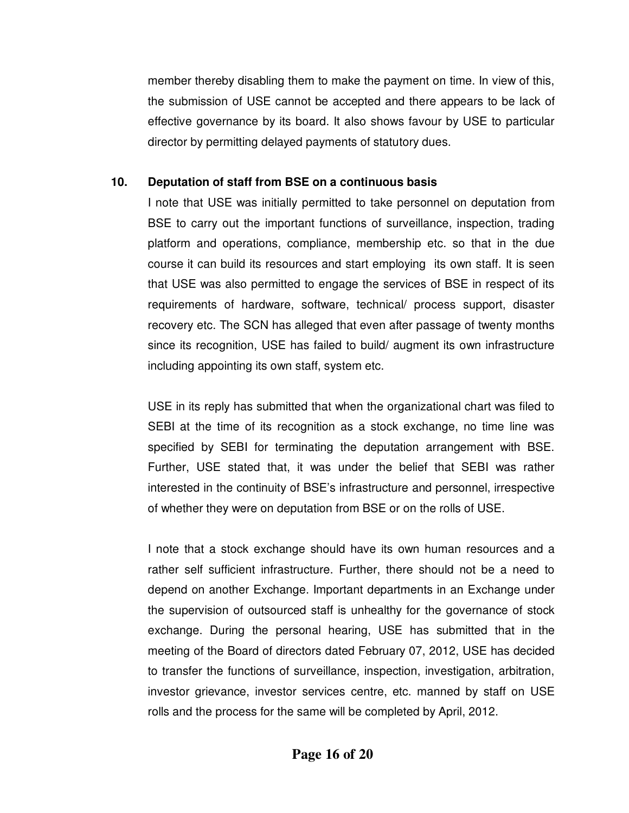member thereby disabling them to make the payment on time. In view of this, the submission of USE cannot be accepted and there appears to be lack of effective governance by its board. It also shows favour by USE to particular director by permitting delayed payments of statutory dues.

# **10. Deputation of staff from BSE on a continuous basis**

I note that USE was initially permitted to take personnel on deputation from BSE to carry out the important functions of surveillance, inspection, trading platform and operations, compliance, membership etc. so that in the due course it can build its resources and start employing its own staff. It is seen that USE was also permitted to engage the services of BSE in respect of its requirements of hardware, software, technical/ process support, disaster recovery etc. The SCN has alleged that even after passage of twenty months since its recognition, USE has failed to build/ augment its own infrastructure including appointing its own staff, system etc.

USE in its reply has submitted that when the organizational chart was filed to SEBI at the time of its recognition as a stock exchange, no time line was specified by SEBI for terminating the deputation arrangement with BSE. Further, USE stated that, it was under the belief that SEBI was rather interested in the continuity of BSE's infrastructure and personnel, irrespective of whether they were on deputation from BSE or on the rolls of USE.

I note that a stock exchange should have its own human resources and a rather self sufficient infrastructure. Further, there should not be a need to depend on another Exchange. Important departments in an Exchange under the supervision of outsourced staff is unhealthy for the governance of stock exchange. During the personal hearing, USE has submitted that in the meeting of the Board of directors dated February 07, 2012, USE has decided to transfer the functions of surveillance, inspection, investigation, arbitration, investor grievance, investor services centre, etc. manned by staff on USE rolls and the process for the same will be completed by April, 2012.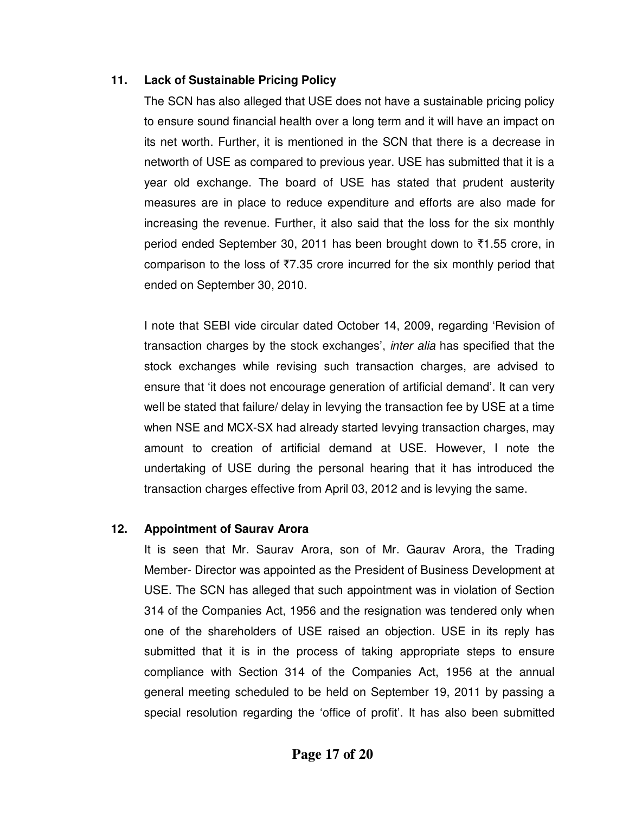# **11. Lack of Sustainable Pricing Policy**

The SCN has also alleged that USE does not have a sustainable pricing policy to ensure sound financial health over a long term and it will have an impact on its net worth. Further, it is mentioned in the SCN that there is a decrease in networth of USE as compared to previous year. USE has submitted that it is a year old exchange. The board of USE has stated that prudent austerity measures are in place to reduce expenditure and efforts are also made for increasing the revenue. Further, it also said that the loss for the six monthly period ended September 30, 2011 has been brought down to  $\overline{51.55}$  crore, in comparison to the loss of  $\overline{57.35}$  crore incurred for the six monthly period that ended on September 30, 2010.

I note that SEBI vide circular dated October 14, 2009, regarding 'Revision of transaction charges by the stock exchanges', inter alia has specified that the stock exchanges while revising such transaction charges, are advised to ensure that 'it does not encourage generation of artificial demand'. It can very well be stated that failure/ delay in levying the transaction fee by USE at a time when NSE and MCX-SX had already started levying transaction charges, may amount to creation of artificial demand at USE. However, I note the undertaking of USE during the personal hearing that it has introduced the transaction charges effective from April 03, 2012 and is levying the same.

# **12. Appointment of Saurav Arora**

It is seen that Mr. Saurav Arora, son of Mr. Gaurav Arora, the Trading Member- Director was appointed as the President of Business Development at USE. The SCN has alleged that such appointment was in violation of Section 314 of the Companies Act, 1956 and the resignation was tendered only when one of the shareholders of USE raised an objection. USE in its reply has submitted that it is in the process of taking appropriate steps to ensure compliance with Section 314 of the Companies Act, 1956 at the annual general meeting scheduled to be held on September 19, 2011 by passing a special resolution regarding the 'office of profit'. It has also been submitted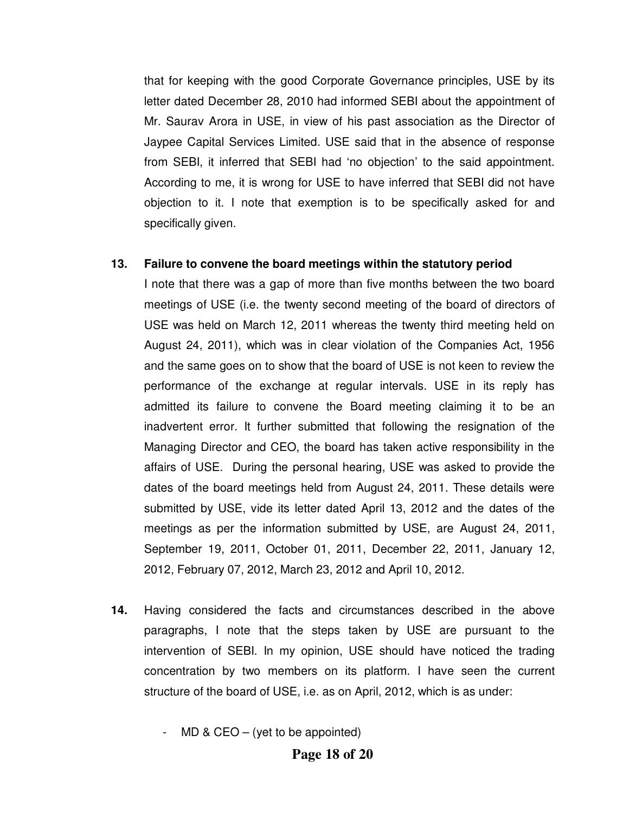that for keeping with the good Corporate Governance principles, USE by its letter dated December 28, 2010 had informed SEBI about the appointment of Mr. Saurav Arora in USE, in view of his past association as the Director of Jaypee Capital Services Limited. USE said that in the absence of response from SEBI, it inferred that SEBI had 'no objection' to the said appointment. According to me, it is wrong for USE to have inferred that SEBI did not have objection to it. I note that exemption is to be specifically asked for and specifically given.

### **13. Failure to convene the board meetings within the statutory period**

I note that there was a gap of more than five months between the two board meetings of USE (i.e. the twenty second meeting of the board of directors of USE was held on March 12, 2011 whereas the twenty third meeting held on August 24, 2011), which was in clear violation of the Companies Act, 1956 and the same goes on to show that the board of USE is not keen to review the performance of the exchange at regular intervals. USE in its reply has admitted its failure to convene the Board meeting claiming it to be an inadvertent error. It further submitted that following the resignation of the Managing Director and CEO, the board has taken active responsibility in the affairs of USE. During the personal hearing, USE was asked to provide the dates of the board meetings held from August 24, 2011. These details were submitted by USE, vide its letter dated April 13, 2012 and the dates of the meetings as per the information submitted by USE, are August 24, 2011, September 19, 2011, October 01, 2011, December 22, 2011, January 12, 2012, February 07, 2012, March 23, 2012 and April 10, 2012.

- **14.** Having considered the facts and circumstances described in the above paragraphs, I note that the steps taken by USE are pursuant to the intervention of SEBI. In my opinion, USE should have noticed the trading concentration by two members on its platform. I have seen the current structure of the board of USE, i.e. as on April, 2012, which is as under:
	- MD & CEO  $-$  (yet to be appointed)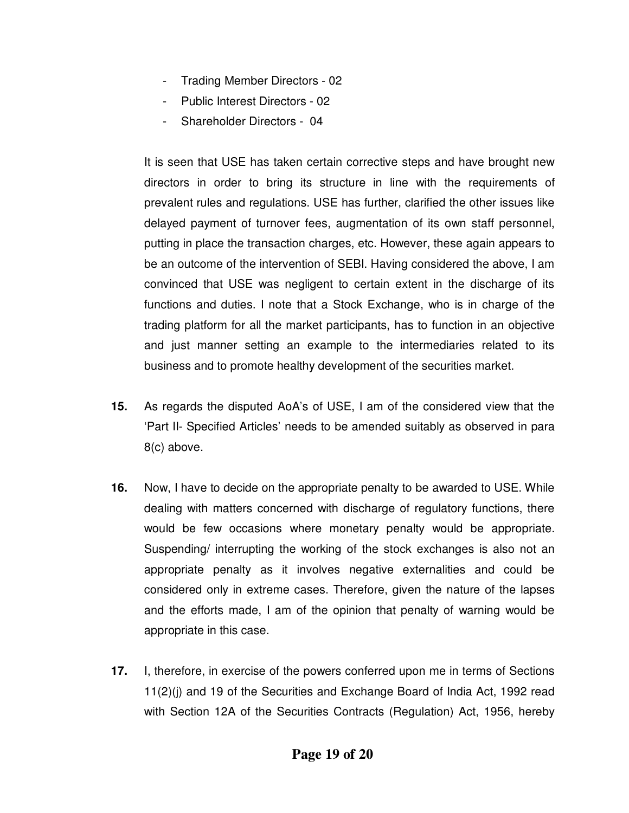- Trading Member Directors 02
- Public Interest Directors 02
- Shareholder Directors 04

It is seen that USE has taken certain corrective steps and have brought new directors in order to bring its structure in line with the requirements of prevalent rules and regulations. USE has further, clarified the other issues like delayed payment of turnover fees, augmentation of its own staff personnel, putting in place the transaction charges, etc. However, these again appears to be an outcome of the intervention of SEBI. Having considered the above, I am convinced that USE was negligent to certain extent in the discharge of its functions and duties. I note that a Stock Exchange, who is in charge of the trading platform for all the market participants, has to function in an objective and just manner setting an example to the intermediaries related to its business and to promote healthy development of the securities market.

- **15.** As regards the disputed AoA's of USE, I am of the considered view that the 'Part II- Specified Articles' needs to be amended suitably as observed in para 8(c) above.
- **16.** Now, I have to decide on the appropriate penalty to be awarded to USE. While dealing with matters concerned with discharge of regulatory functions, there would be few occasions where monetary penalty would be appropriate. Suspending/ interrupting the working of the stock exchanges is also not an appropriate penalty as it involves negative externalities and could be considered only in extreme cases. Therefore, given the nature of the lapses and the efforts made, I am of the opinion that penalty of warning would be appropriate in this case.
- **17.** I, therefore, in exercise of the powers conferred upon me in terms of Sections 11(2)(j) and 19 of the Securities and Exchange Board of India Act, 1992 read with Section 12A of the Securities Contracts (Regulation) Act, 1956, hereby